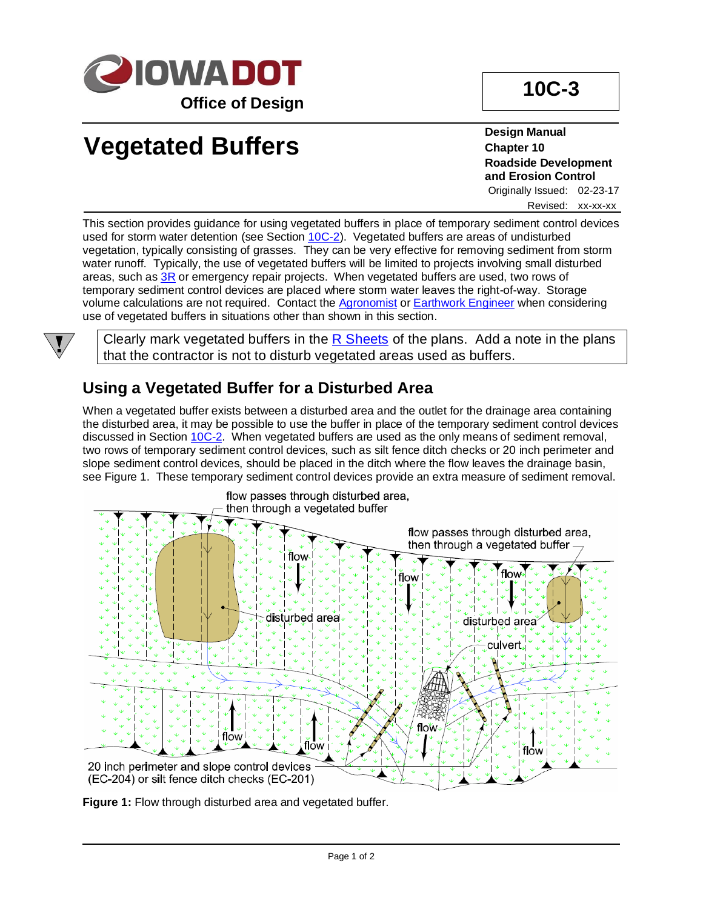

# **Vegetated Buffers**

**Design Manual Chapter 10 Roadside Development and Erosion Control**

Originally Issued: 02-23-17 Revised: xx-xx-xx

This section provides guidance for using vegetated buffers in place of temporary sediment control devices used for storm water detention (see Section [10C-2\)](10C-02.pdf). Vegetated buffers are areas of undisturbed vegetation, typically consisting of grasses. They can be very effective for removing sediment from storm water runoff. Typically, the use of vegetated buffers will be limited to projects involving small disturbed areas, such as  $3R$  or emergency repair projects. When vegetated buffers are used, two rows of temporary sediment control devices are placed where storm water leaves the right-of-way. Storage volume calculations are not required. Contact the [Agronomist](01B-02/Agronomist.pdf) or [Earthwork Engineer](01B-02/EarthworkEngineer.pdf) when considering use of vegetated buffers in situations other than shown in this section.



Clearly mark vegetated buffers in the  $R$  Sheets of the plans. Add a note in the plans that the contractor is not to disturb vegetated areas used as buffers.

### **Using a Vegetated Buffer for a Disturbed Area**

When a vegetated buffer exists between a disturbed area and the outlet for the drainage area containing the disturbed area, it may be possible to use the buffer in place of the temporary sediment control devices discussed in Section [10C-2.](10C-02.pdf) When vegetated buffers are used as the only means of sediment removal, two rows of temporary sediment control devices, such as silt fence ditch checks or 20 inch perimeter and slope sediment control devices, should be placed in the ditch where the flow leaves the drainage basin, see Figure 1. These temporary sediment control devices provide an extra measure of sediment removal.



**Figure 1:** Flow through disturbed area and vegetated buffer.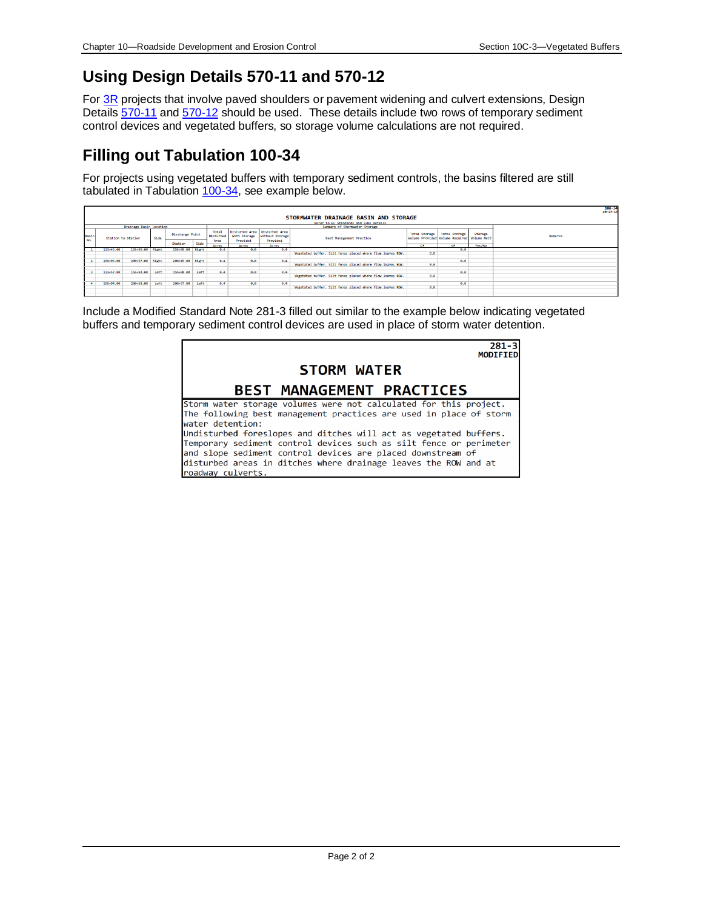## **Using Design Details 570-11 and 570-12**

For [3R](01B-1/3R.pdf.pdf) projects that involve paved shoulders or pavement widening and culvert extensions, Design Details [570-11](../tnt/PDFsandWebFiles/IndividualPDFs/0570-11.pdf) an[d 570-12](../tnt/PDFsandWebFiles/IndividualPDFs/0570-12.pdf) should be used. These details include two rows of temporary sediment control devices and vegetated buffers, so storage volume calculations are not required.

#### **Filling out Tabulation 100-34**

For projects using vegetated buffers with temporary sediment controls, the basins filtered are still tabulated in Tabulation  $100-34$ , see example below.

|                                                                                                     |           |                    |      |                        |      |                    |                   |                                                  | STORMWATER DRAINAGE BASIN AND STORAGE                      |                                                                            |               |                   | 100-34<br>10-17-17 |
|-----------------------------------------------------------------------------------------------------|-----------|--------------------|------|------------------------|------|--------------------|-------------------|--------------------------------------------------|------------------------------------------------------------|----------------------------------------------------------------------------|---------------|-------------------|--------------------|
|                                                                                                     |           |                    |      |                        |      |                    |                   |                                                  |                                                            |                                                                            |               |                   |                    |
| Refer to EC Standards and 570s Details.<br>Summary of Stormwater Storage<br>Drainage Basin Location |           |                    |      |                        |      |                    |                   |                                                  |                                                            |                                                                            |               |                   |                    |
| Basin<br>No.                                                                                        |           | Station to Station |      | <b>Discharge Point</b> |      | Total<br>Disturbed | with Storage      | Disturbed Area Disturbed Area<br>without Storage | <b>Best Management Practice</b>                            | <b>Total Storage</b><br>Volume Provided Volume Required Volume Met?<br>CF. | Total Storage | Storage<br>Yes/No | Remarks            |
|                                                                                                     |           |                    |      | Station                | Side | Area<br>Acres      | Provided<br>Acres | Provided<br>Acres                                |                                                            |                                                                            | <b>CE</b>     |                   |                    |
|                                                                                                     | 113+45.00 | 156+95.00   Right  |      | 156+89.00 Right        |      |                    | 0.0               | 0.4                                              |                                                            |                                                                            | 0.0           |                   |                    |
|                                                                                                     |           |                    |      |                        |      |                    |                   |                                                  | Vegetated buffer. Silt fence placed where flow leaves ROW. | 0.0                                                                        |               |                   |                    |
|                                                                                                     |           |                    |      |                        |      |                    |                   |                                                  |                                                            |                                                                            |               |                   |                    |
|                                                                                                     | 156+96.00 | 200+57.00 Right    |      | 200+45.00 Right        |      | 0.4                | 0.0               | 0.4                                              |                                                            |                                                                            | 0.0           |                   |                    |
|                                                                                                     |           |                    |      |                        |      |                    |                   |                                                  | Vegetated buffer. Silt fence placed where flow leaves ROW. | 0.0                                                                        |               |                   |                    |
|                                                                                                     | 113+57.00 | 156+93.00          | Left | 156+88.00              | Left | 0.4                | e.e               | 0.4                                              |                                                            |                                                                            | e.e           |                   |                    |
|                                                                                                     |           |                    |      |                        |      |                    |                   |                                                  | Vegetated buffer. Silt fence placed where flow leaves ROW. | 0.0                                                                        |               |                   |                    |
|                                                                                                     |           |                    |      |                        |      |                    |                   |                                                  |                                                            |                                                                            |               |                   |                    |
| $\Delta$                                                                                            | 156+94.00 | 200+63.00          | Left | 200+57.00              | Left | 0.4                | e.e               | 0.4                                              |                                                            |                                                                            | e.e           |                   |                    |
|                                                                                                     |           |                    |      |                        |      |                    |                   |                                                  | Vegetated buffer. Silt fence placed where flow leaves ROW. | 0.0                                                                        |               |                   |                    |
|                                                                                                     |           |                    |      |                        |      |                    |                   |                                                  |                                                            |                                                                            |               |                   |                    |

Include a Modified Standard Note 281-3 filled out similar to the example below indicating vegetated buffers and temporary sediment control devices are used in place of storm water detention.

| $281 -$<br>MODIFIED                                                                                                                                                                                                                                                                                                                                                                                                                                           |
|---------------------------------------------------------------------------------------------------------------------------------------------------------------------------------------------------------------------------------------------------------------------------------------------------------------------------------------------------------------------------------------------------------------------------------------------------------------|
| <b>STORM WATER</b>                                                                                                                                                                                                                                                                                                                                                                                                                                            |
| <b>BEST MANAGEMENT PRACTICES</b>                                                                                                                                                                                                                                                                                                                                                                                                                              |
| Storm water storage volumes were not calculated for this project.<br>The following best management practices are used in place of storm<br>water detention:<br>Undisturbed foreslopes and ditches will act as vegetated buffers.<br>Temporary sediment control devices such as silt fence or perimeter<br>and slope sediment control devices are placed downstream of<br>disturbed areas in ditches where drainage leaves the ROW and at<br>roadway culverts. |